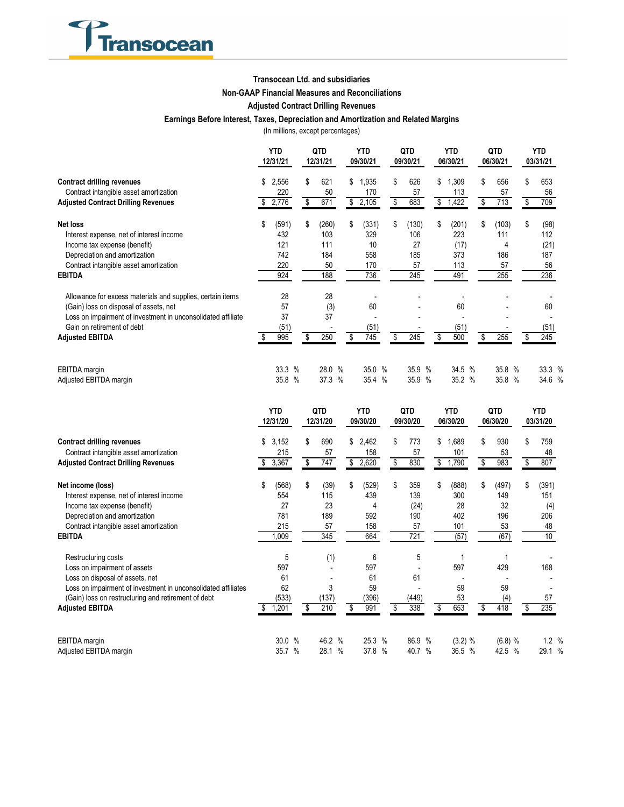

## **Transocean Ltd. and subsidiaries**

## **Non-GAAP Financial Measures and Reconciliations**

# **Adjusted Contract Drilling Revenues**

## **Earnings Before Interest, Taxes, Depreciation and Amortization and Related Margins**

(In millions, except percentages)

|                                                              | YTD<br>12/31/21 |        | QTD<br>12/31/21 |        | YTD<br>09/30/21 |        | QTD<br>09/30/21 |        | <b>YTD</b><br>06/30/21 |        | QTD<br>06/30/21 |    | <b>YTD</b><br>03/31/21 |  |    |        |
|--------------------------------------------------------------|-----------------|--------|-----------------|--------|-----------------|--------|-----------------|--------|------------------------|--------|-----------------|----|------------------------|--|----|--------|
| <b>Contract drilling revenues</b>                            | \$              | 2,556  | \$              | 621    | \$              | 1,935  | \$              | 626    | \$                     | 1,309  |                 | \$ | 656                    |  | \$ | 653    |
| Contract intangible asset amortization                       |                 | 220    |                 | 50     |                 | 170    |                 | 57     |                        | 113    |                 |    | 57                     |  |    | 56     |
| <b>Adjusted Contract Drilling Revenues</b>                   |                 | 2,776  | \$              | 671    | \$              | 2,105  | \$              | 683    | \$                     | 1,422  |                 | \$ | 713                    |  |    | 709    |
| Net loss                                                     | \$              | (591)  | \$              | (260)  | \$              | (331)  | S               | (130)  | \$                     | (201)  |                 | \$ | (103)                  |  | \$ | (98)   |
| Interest expense, net of interest income                     |                 | 432    |                 | 103    |                 | 329    |                 | 106    |                        | 223    |                 |    | 111                    |  |    | 112    |
| Income tax expense (benefit)                                 |                 | 121    |                 | 111    |                 | 10     |                 | 27     |                        | (17)   |                 |    | 4                      |  |    | (21)   |
| Depreciation and amortization                                |                 | 742    |                 | 184    |                 | 558    |                 | 185    |                        | 373    |                 |    | 186                    |  |    | 187    |
| Contract intangible asset amortization                       |                 | 220    |                 | 50     |                 | 170    |                 | 57     |                        | 113    |                 |    | 57                     |  |    | 56     |
| <b>EBITDA</b>                                                |                 | 924    |                 | 188    |                 | 736    |                 | 245    |                        | 491    |                 |    | 255                    |  |    | 236    |
| Allowance for excess materials and supplies, certain items   |                 | 28     |                 | 28     |                 |        |                 |        |                        |        |                 |    |                        |  |    |        |
| (Gain) loss on disposal of assets, net                       |                 | 57     |                 | (3)    |                 | 60     |                 |        |                        | 60     |                 |    |                        |  |    | 60     |
| Loss on impairment of investment in unconsolidated affiliate |                 | 37     |                 | 37     |                 |        |                 |        |                        |        |                 |    |                        |  |    |        |
| Gain on retirement of debt                                   |                 | (51)   |                 |        |                 | (51)   |                 |        |                        | (51)   |                 |    |                        |  |    | (51)   |
| <b>Adjusted EBITDA</b>                                       |                 | 995    | \$              | 250    |                 | 745    | \$              | 245    | \$                     | 500    |                 | S  | 255                    |  |    | 245    |
| EBITDA margin                                                |                 | 33.3 % |                 | 28.0 % |                 | 35.0 % |                 | 35.9%  |                        | 34.5 % |                 |    | 35.8 %                 |  |    | 33.3 % |
| Adjusted EBITDA margin                                       |                 | 35.8 % |                 | 37.3 % |                 | 35.4 % |                 | 35.9 % |                        | 35.2 % |                 |    | 35.8 %                 |  |    | 34.6 % |

|                                                               |    | <b>YTD</b><br>12/31/20 |      | QTD<br>12/31/20 |        | <b>YTD</b><br>09/30/20 |        | QTD<br>09/30/20 |        | <b>YTD</b><br>06/30/20 |    | QTD<br>06/30/20 |    | YTD<br>03/31/20 |    |       |      |
|---------------------------------------------------------------|----|------------------------|------|-----------------|--------|------------------------|--------|-----------------|--------|------------------------|----|-----------------|----|-----------------|----|-------|------|
| <b>Contract drilling revenues</b>                             | \$ | 3,152                  |      | \$<br>690       |        | \$                     | 2,462  | \$              | 773    |                        | \$ | .689            | \$ | 930             | \$ | 759   |      |
| Contract intangible asset amortization                        |    | 215                    |      | 57              |        |                        | 158    |                 | 57     |                        |    | 101             |    | 53              |    | 48    |      |
| <b>Adjusted Contract Drilling Revenues</b>                    |    | 3,367                  |      | 747<br>\$       |        | \$                     | 2,620  | \$              | 830    |                        | \$ | 1,790           | \$ | 983             | \$ | 807   |      |
| Net income (loss)                                             | \$ | (568)                  |      | (39)<br>\$      |        | \$                     | (529)  | \$              | 359    |                        | \$ | (888)           | \$ | (497)           | \$ | (391) |      |
| Interest expense, net of interest income                      |    | 554                    |      | 115             |        |                        | 439    |                 | 139    |                        |    | 300             |    | 149             |    | 151   |      |
| Income tax expense (benefit)                                  |    | 27                     |      | 23              |        |                        | 4      |                 | (24)   |                        |    | 28              |    | 32              |    | (4)   |      |
| Depreciation and amortization                                 |    | 781                    |      | 189             |        |                        | 592    |                 | 190    |                        |    | 402             |    | 196             |    | 206   |      |
| Contract intangible asset amortization                        |    | 215                    |      | 57              |        |                        | 158    |                 | 57     |                        |    | 101             |    | 53              |    | 48    |      |
| <b>EBITDA</b>                                                 |    | 1,009                  |      | 345             |        |                        | 664    |                 | 721    |                        |    | (57)            |    | (67)            |    | 10    |      |
| Restructuring costs                                           |    | 5                      |      | (1)             |        |                        | 6      |                 | 5      |                        |    |                 |    |                 |    |       |      |
| Loss on impairment of assets                                  |    | 597                    |      |                 |        |                        | 597    |                 |        |                        |    | 597             |    | 429             |    | 168   |      |
| Loss on disposal of assets, net                               |    | 61                     |      |                 |        |                        | 61     |                 | 61     |                        |    |                 |    |                 |    |       |      |
| Loss on impairment of investment in unconsolidated affiliates |    | 62                     |      |                 | 3      |                        | 59     |                 |        |                        |    | 59              |    | 59              |    |       |      |
| (Gain) loss on restructuring and retirement of debt           |    | (533)                  |      | (137)           |        |                        | (396)  |                 | (449)  |                        |    | 53              |    | (4)             |    | 57    |      |
| <b>Adjusted EBITDA</b>                                        |    | ,201                   |      | 210<br>\$       |        |                        | 991    | \$              | 338    |                        | \$ | 653             | \$ | 418             |    | 235   |      |
| EBITDA margin                                                 |    | 30.0                   | %    |                 | 46.2 % |                        | 25.3 % |                 | 86.9 % |                        |    | $(3.2)$ %       |    | $(6.8)$ %       |    | 1.2%  |      |
| Adjusted EBITDA margin                                        |    | 35.7                   | $\%$ |                 | 28.1 % |                        | 37.8 % |                 | 40.7   | $\%$                   |    | 36.5 %          |    | 42.5 %          |    | 29.1  | $\%$ |